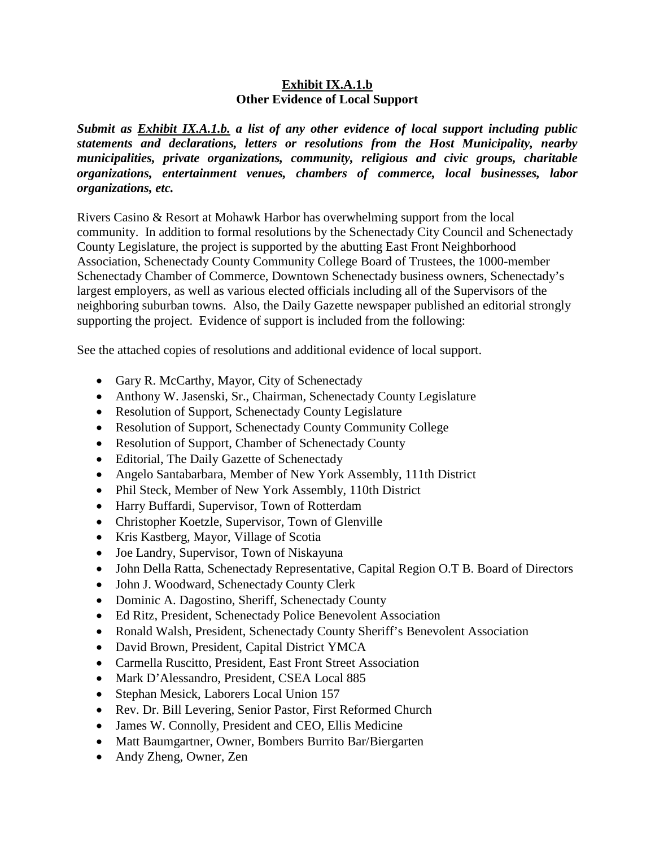## **Exhibit IX.A.1.b Other Evidence of Local Support**

*Submit as Exhibit IX.A.1.b. a list of any other evidence of local support including public statements and declarations, letters or resolutions from the Host Municipality, nearby municipalities, private organizations, community, religious and civic groups, charitable organizations, entertainment venues, chambers of commerce, local businesses, labor organizations, etc.*

Rivers Casino & Resort at Mohawk Harbor has overwhelming support from the local community. In addition to formal resolutions by the Schenectady City Council and Schenectady County Legislature, the project is supported by the abutting East Front Neighborhood Association, Schenectady County Community College Board of Trustees, the 1000-member Schenectady Chamber of Commerce, Downtown Schenectady business owners, Schenectady's largest employers, as well as various elected officials including all of the Supervisors of the neighboring suburban towns. Also, the Daily Gazette newspaper published an editorial strongly supporting the project. Evidence of support is included from the following:

See the attached copies of resolutions and additional evidence of local support.

- Gary R. McCarthy, Mayor, City of Schenectady
- Anthony W. Jasenski, Sr., Chairman, Schenectady County Legislature
- Resolution of Support, Schenectady County Legislature
- Resolution of Support, Schenectady County Community College
- Resolution of Support, Chamber of Schenectady County
- Editorial, The Daily Gazette of Schenectady
- Angelo Santabarbara, Member of New York Assembly, 111th District
- Phil Steck, Member of New York Assembly, 110th District
- Harry Buffardi, Supervisor, Town of Rotterdam
- Christopher Koetzle, Supervisor, Town of Glenville
- Kris Kastberg, Mayor, Village of Scotia
- Joe Landry, Supervisor, Town of Niskayuna
- John Della Ratta, Schenectady Representative, Capital Region O.T B. Board of Directors
- John J. Woodward, Schenectady County Clerk
- Dominic A. Dagostino, Sheriff, Schenectady County
- Ed Ritz, President, Schenectady Police Benevolent Association
- Ronald Walsh, President, Schenectady County Sheriff's Benevolent Association
- David Brown, President, Capital District YMCA
- Carmella Ruscitto, President, East Front Street Association
- Mark D'Alessandro, President, CSEA Local 885
- Stephan Mesick, Laborers Local Union 157
- Rev. Dr. Bill Levering, Senior Pastor, First Reformed Church
- James W. Connolly, President and CEO, Ellis Medicine
- Matt Baumgartner, Owner, Bombers Burrito Bar/Biergarten
- Andy Zheng, Owner, Zen